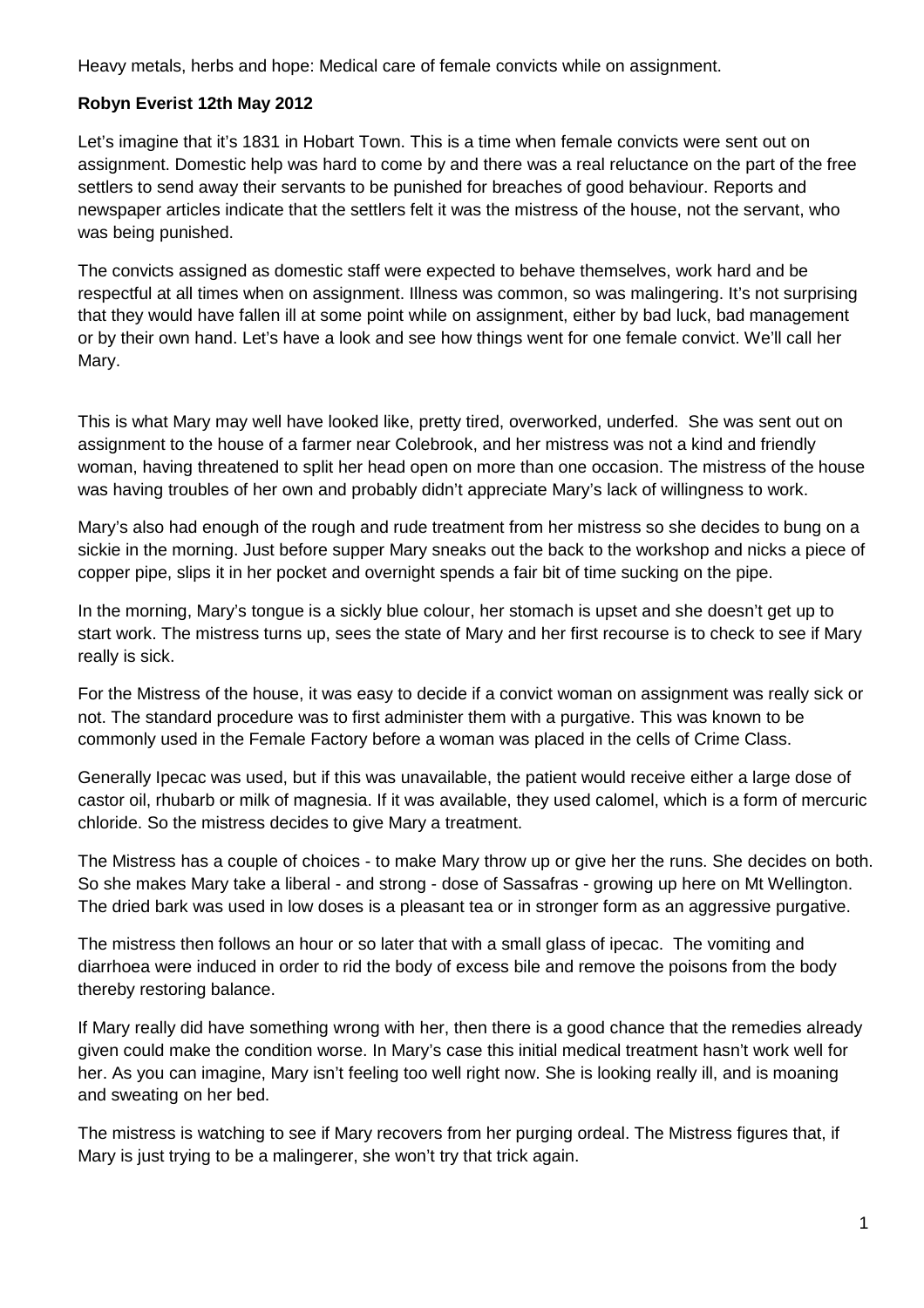Heavy metals, herbs and hope: Medical care of female convicts while on assignment.

## **Robyn Everist 12th May 2012**

Let's imagine that it's 1831 in Hobart Town. This is a time when female convicts were sent out on assignment. Domestic help was hard to come by and there was a real reluctance on the part of the free settlers to send away their servants to be punished for breaches of good behaviour. Reports and newspaper articles indicate that the settlers felt it was the mistress of the house, not the servant, who was being punished.

The convicts assigned as domestic staff were expected to behave themselves, work hard and be respectful at all times when on assignment. Illness was common, so was malingering. It's not surprising that they would have fallen ill at some point while on assignment, either by bad luck, bad management or by their own hand. Let's have a look and see how things went for one female convict. We'll call her Mary.

This is what Mary may well have looked like, pretty tired, overworked, underfed. She was sent out on assignment to the house of a farmer near Colebrook, and her mistress was not a kind and friendly woman, having threatened to split her head open on more than one occasion. The mistress of the house was having troubles of her own and probably didn't appreciate Mary's lack of willingness to work.

Mary's also had enough of the rough and rude treatment from her mistress so she decides to bung on a sickie in the morning. Just before supper Mary sneaks out the back to the workshop and nicks a piece of copper pipe, slips it in her pocket and overnight spends a fair bit of time sucking on the pipe.

In the morning, Mary's tongue is a sickly blue colour, her stomach is upset and she doesn't get up to start work. The mistress turns up, sees the state of Mary and her first recourse is to check to see if Mary really is sick.

For the Mistress of the house, it was easy to decide if a convict woman on assignment was really sick or not. The standard procedure was to first administer them with a purgative. This was known to be commonly used in the Female Factory before a woman was placed in the cells of Crime Class.

Generally Ipecac was used, but if this was unavailable, the patient would receive either a large dose of castor oil, rhubarb or milk of magnesia. If it was available, they used calomel, which is a form of mercuric chloride. So the mistress decides to give Mary a treatment.

The Mistress has a couple of choices - to make Mary throw up or give her the runs. She decides on both. So she makes Mary take a liberal - and strong - dose of Sassafras - growing up here on Mt Wellington. The dried bark was used in low doses is a pleasant tea or in stronger form as an aggressive purgative.

The mistress then follows an hour or so later that with a small glass of ipecac. The vomiting and diarrhoea were induced in order to rid the body of excess bile and remove the poisons from the body thereby restoring balance.

If Mary really did have something wrong with her, then there is a good chance that the remedies already given could make the condition worse. In Mary's case this initial medical treatment hasn't work well for her. As you can imagine, Mary isn't feeling too well right now. She is looking really ill, and is moaning and sweating on her bed.

The mistress is watching to see if Mary recovers from her purging ordeal. The Mistress figures that, if Mary is just trying to be a malingerer, she won't try that trick again.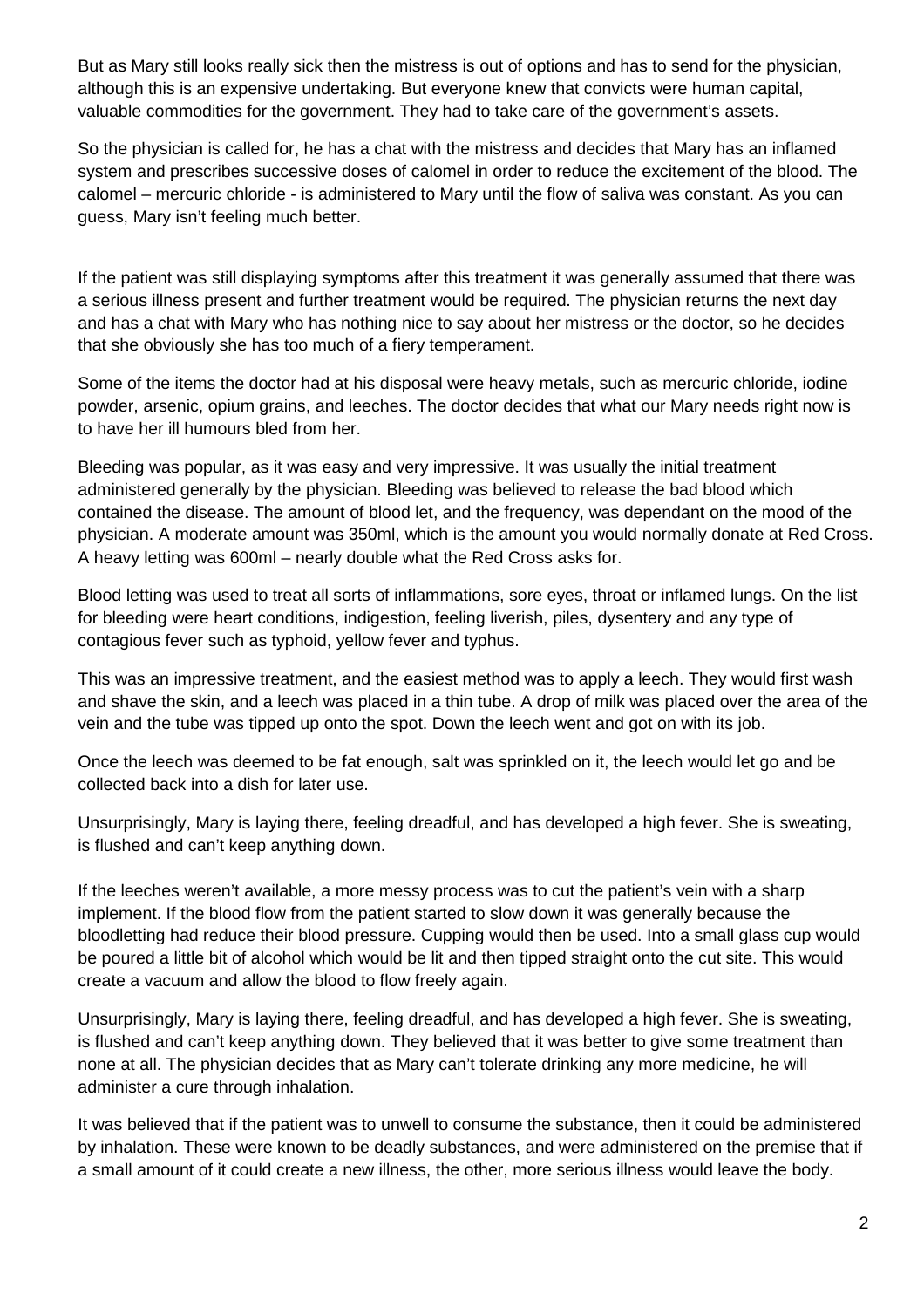But as Mary still looks really sick then the mistress is out of options and has to send for the physician, although this is an expensive undertaking. But everyone knew that convicts were human capital, valuable commodities for the government. They had to take care of the government's assets.

So the physician is called for, he has a chat with the mistress and decides that Mary has an inflamed system and prescribes successive doses of calomel in order to reduce the excitement of the blood. The calomel – mercuric chloride - is administered to Mary until the flow of saliva was constant. As you can guess, Mary isn't feeling much better.

If the patient was still displaying symptoms after this treatment it was generally assumed that there was a serious illness present and further treatment would be required. The physician returns the next day and has a chat with Mary who has nothing nice to say about her mistress or the doctor, so he decides that she obviously she has too much of a fiery temperament.

Some of the items the doctor had at his disposal were heavy metals, such as mercuric chloride, iodine powder, arsenic, opium grains, and leeches. The doctor decides that what our Mary needs right now is to have her ill humours bled from her.

Bleeding was popular, as it was easy and very impressive. It was usually the initial treatment administered generally by the physician. Bleeding was believed to release the bad blood which contained the disease. The amount of blood let, and the frequency, was dependant on the mood of the physician. A moderate amount was 350ml, which is the amount you would normally donate at Red Cross. A heavy letting was 600ml – nearly double what the Red Cross asks for.

Blood letting was used to treat all sorts of inflammations, sore eyes, throat or inflamed lungs. On the list for bleeding were heart conditions, indigestion, feeling liverish, piles, dysentery and any type of contagious fever such as typhoid, yellow fever and typhus.

This was an impressive treatment, and the easiest method was to apply a leech. They would first wash and shave the skin, and a leech was placed in a thin tube. A drop of milk was placed over the area of the vein and the tube was tipped up onto the spot. Down the leech went and got on with its job.

Once the leech was deemed to be fat enough, salt was sprinkled on it, the leech would let go and be collected back into a dish for later use.

Unsurprisingly, Mary is laying there, feeling dreadful, and has developed a high fever. She is sweating, is flushed and can't keep anything down.

If the leeches weren't available, a more messy process was to cut the patient's vein with a sharp implement. If the blood flow from the patient started to slow down it was generally because the bloodletting had reduce their blood pressure. Cupping would then be used. Into a small glass cup would be poured a little bit of alcohol which would be lit and then tipped straight onto the cut site. This would create a vacuum and allow the blood to flow freely again.

Unsurprisingly, Mary is laying there, feeling dreadful, and has developed a high fever. She is sweating, is flushed and can't keep anything down. They believed that it was better to give some treatment than none at all. The physician decides that as Mary can't tolerate drinking any more medicine, he will administer a cure through inhalation.

It was believed that if the patient was to unwell to consume the substance, then it could be administered by inhalation. These were known to be deadly substances, and were administered on the premise that if a small amount of it could create a new illness, the other, more serious illness would leave the body.